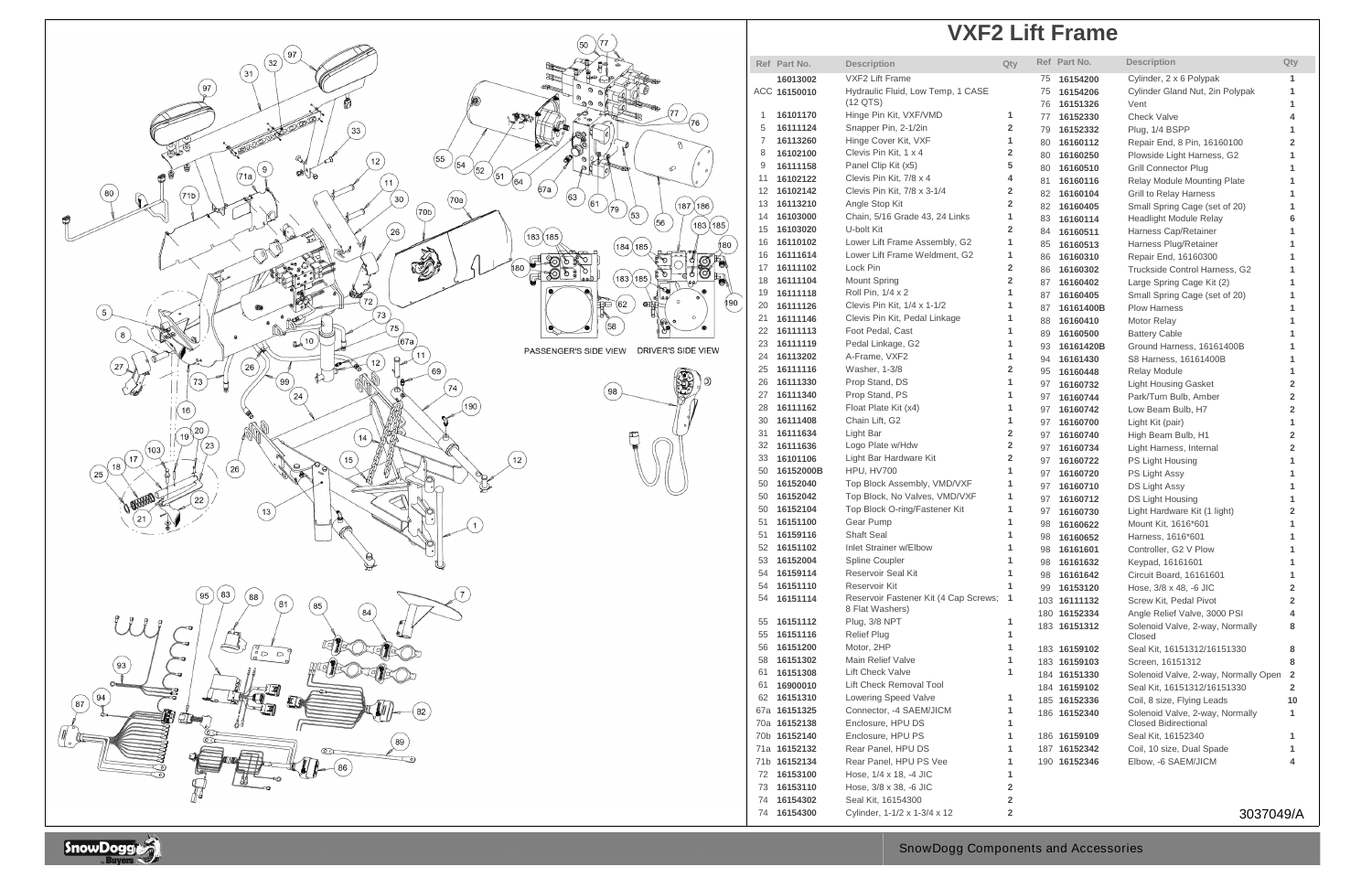## **VXF2 Lift Frame**



|    | Ref Part No.        | <b>Description</b>                    | Qty |    | Ref Part No. | <b>Description</b>                   | Qty                     |
|----|---------------------|---------------------------------------|-----|----|--------------|--------------------------------------|-------------------------|
|    | 16013002            | <b>VXF2 Lift Frame</b>                |     | 75 | 16154200     | Cylinder, 2 x 6 Polypak              | 1                       |
|    | ACC 16150010        | Hydraulic Fluid, Low Temp, 1 CASE     |     | 75 | 16154206     | Cylinder Gland Nut, 2in Polypak      | 1                       |
|    |                     | $(12$ QTS)                            |     | 76 | 16151326     | Vent                                 | 1                       |
| 1  | 16101170            | Hinge Pin Kit, VXF/VMD                | 1   | 77 | 16152330     | <b>Check Valve</b>                   | 4                       |
| 5  | 16111124            | Snapper Pin, 2-1/2in                  | 2   | 79 | 16152332     | Plug, 1/4 BSPP                       | 1                       |
| 7  | 16113260            | Hinge Cover Kit, VXF                  | 1   | 80 | 16160112     | Repair End, 8 Pin, 16160100          | $\overline{2}$          |
| 8  | 16102100            | Clevis Pin Kit, 1 x 4                 | 2   | 80 | 16160250     | Plowside Light Harness, G2           | 1                       |
| 9  | 16111158            | Panel Clip Kit (x5)                   | 5   | 80 | 16160510     | <b>Grill Connector Plug</b>          | 1                       |
| 11 | 16102122            | Clevis Pin Kit, 7/8 x 4               | 4   | 81 | 16160116     | Relay Module Mounting Plate          | 1                       |
| 12 | 16102142            | Clevis Pin Kit, 7/8 x 3-1/4           | 2   | 82 | 16160104     | <b>Grill to Relay Harness</b>        | 1                       |
| 13 | 16113210            | Angle Stop Kit                        | 2   | 82 | 16160405     | Small Spring Cage (set of 20)        | 1                       |
| 14 | 16103000            | Chain, 5/16 Grade 43, 24 Links        | 1   | 83 | 16160114     | <b>Headlight Module Relay</b>        | 6                       |
| 15 | 16103020            | U-bolt Kit                            | 2   | 84 | 16160511     | Harness Cap/Retainer                 | 1                       |
| 16 | 16110102            | Lower Lift Frame Assembly, G2         | 1   | 85 | 16160513     | Harness Plug/Retainer                | 1                       |
| 16 | 16111614            | Lower Lift Frame Weldment, G2         | 1   | 86 | 16160310     | Repair End, 16160300                 | 1                       |
| 17 | 16111102            | Lock Pin                              | 2   | 86 | 16160302     | Truckside Control Harness, G2        | 1                       |
| 18 | 16111104            | <b>Mount Spring</b>                   | 2   | 87 | 16160402     | Large Spring Cage Kit (2)            | 1                       |
| 19 | 16111118            | Roll Pin, 1/4 x 2                     | 1   | 87 | 16160405     | Small Spring Cage (set of 20)        | 1                       |
| 20 | 16111126            | Clevis Pin Kit, 1/4 x 1-1/2           | 1   | 87 | 16161400B    | <b>Plow Harness</b>                  | 1                       |
| 21 | 16111146            | Clevis Pin Kit, Pedal Linkage         | 1   | 88 | 16160410     | Motor Relay                          | 1                       |
| 22 | 16111113            | Foot Pedal, Cast                      | 1   | 89 | 16160500     | <b>Battery Cable</b>                 | 1                       |
| 23 | 16111119            | Pedal Linkage, G2                     | 1   | 93 | 16161420B    | Ground Harness, 16161400B            | 1                       |
| 24 | 16113202            | A-Frame, VXF2                         | 1   | 94 | 16161430     | S8 Harness, 16161400B                | 1                       |
| 25 | 16111116            | Washer, 1-3/8                         | 2   | 95 | 16160448     | <b>Relay Module</b>                  | 1                       |
| 26 | 16111330            | Prop Stand, DS                        | 1   | 97 | 16160732     | <b>Light Housing Gasket</b>          | $\overline{\mathbf{2}}$ |
| 27 | 16111340            | Prop Stand, PS                        | 1   | 97 | 16160744     | Park/Turn Bulb, Amber                | $\overline{\mathbf{2}}$ |
| 28 | 16111162            | Float Plate Kit (x4)                  | 1   | 97 | 16160742     | Low Beam Bulb, H7                    | $\overline{2}$          |
| 30 | 16111408            | Chain Lift, G2                        | 1   | 97 | 16160700     | Light Kit (pair)                     | 1                       |
| 31 | 16111634            | Light Bar                             | 2   | 97 | 16160740     | High Beam Bulb, H1                   | $\overline{2}$          |
| 32 | 16111636            | Logo Plate w/Hdw                      | 2   | 97 | 16160734     | Light Harness, Internal              | $\overline{2}$          |
| 33 | 16101106            | Light Bar Hardware Kit                | 2   | 97 | 16160722     | PS Light Housing                     | 1                       |
| 50 | 16152000B           | HPU, HV700                            | 1   | 97 | 16160720     | PS Light Assy                        | 1                       |
| 50 | 16152040            | Top Block Assembly, VMD/VXF           | 1   | 97 | 16160710     | DS Light Assy                        | 1                       |
| 50 | 16152042            | Top Block, No Valves, VMD/VXF         | 1   | 97 | 16160712     | DS Light Housing                     | 1                       |
| 50 | 16152104            | Top Block O-ring/Fastener Kit         | 1   | 97 | 16160730     | Light Hardware Kit (1 light)         | $\overline{\mathbf{2}}$ |
| 51 | 16151100            | Gear Pump                             | 1   | 98 | 16160622     | Mount Kit, 1616*601                  | 1                       |
| 51 | 16159116            | <b>Shaft Seal</b>                     | 1   | 98 | 16160652     | Harness, 1616*601                    | 1                       |
| 52 | 16151102            | Inlet Strainer w/Elbow                | 1   | 98 | 16161601     | Controller, G2 V Plow                | 1                       |
| 53 | 16152004            | Spline Coupler                        | 1   | 98 | 16161632     | Keypad, 16161601                     | 1                       |
| 54 | 16159114            | Reservoir Seal Kit                    | 1   | 98 | 16161642     | Circuit Board, 16161601              | 1                       |
| 54 | 16151110            | Reservoir Kit                         | 1   | 99 | 16153120     | Hose, 3/8 x 48, -6 JIC               | $\overline{\mathbf{2}}$ |
| 54 | 16151114            | Reservoir Fastener Kit (4 Cap Screws; | 1   |    | 103 16111132 | Screw Kit, Pedal Pivot               | $\overline{\mathbf{2}}$ |
|    |                     | 8 Flat Washers)<br>Plug, 3/8 NPT      |     |    | 180 16152334 | Angle Relief Valve, 3000 PSI         | 4                       |
| 55 | 16151112            |                                       | 1   |    | 183 16151312 | Solenoid Valve, 2-way, Normally      | 8                       |
| 55 | 16151116            | <b>Relief Plug</b>                    | 1   |    |              | Closed                               |                         |
| 56 | 16151200            | Motor, 2HP                            | 1   |    | 183 16159102 | Seal Kit, 16151312/16151330          | 8                       |
| 58 | 16151302            | Main Relief Valve                     | 1   |    | 183 16159103 | Screen, 16151312                     | 8                       |
| 61 | 16151308            | <b>Lift Check Valve</b>               | 1   |    | 184 16151330 | Solenoid Valve, 2-way, Normally Open | $\overline{\mathbf{2}}$ |
| 61 | 16900010            | Lift Check Removal Tool               |     |    | 184 16159102 | Seal Kit, 16151312/16151330          | $\overline{2}$          |
|    | 62 16151310         | <b>Lowering Speed Valve</b>           | 1   |    | 185 16152336 | Coil, 8 size, Flying Leads           | 10                      |
|    | 67a <b>16151325</b> | Connector, -4 SAEM/JICM               | 1   |    | 186 16152340 | Solenoid Valve, 2-way, Normally      | 1                       |
|    | 70a 16152138        | Enclosure, HPU DS                     | 1   |    |              | <b>Closed Bidirectional</b>          |                         |
|    | 70b 16152140        | Enclosure, HPU PS                     | 1   |    | 186 16159109 | Seal Kit, 16152340                   | 1                       |
|    | 71a <b>16152132</b> | Rear Panel, HPU DS                    | 1   |    | 187 16152342 | Coil, 10 size, Dual Spade            | 1                       |
|    | 71b <b>16152134</b> | Rear Panel, HPU PS Vee                | 1   |    | 190 16152346 | Elbow, -6 SAEM/JICM                  | 4                       |
| 72 | 16153100            | Hose, 1/4 x 18, -4 JIC                | 1   |    |              |                                      |                         |
| 73 | 16153110            | Hose, 3/8 x 38, -6 JIC                | 2   |    |              |                                      |                         |
| 74 | 16154302            | Seal Kit, 16154300                    | 2   |    |              |                                      |                         |
| 74 | 16154300            | Cylinder, 1-1/2 x 1-3/4 x 12          | 2   |    |              | 3037049/A                            |                         |